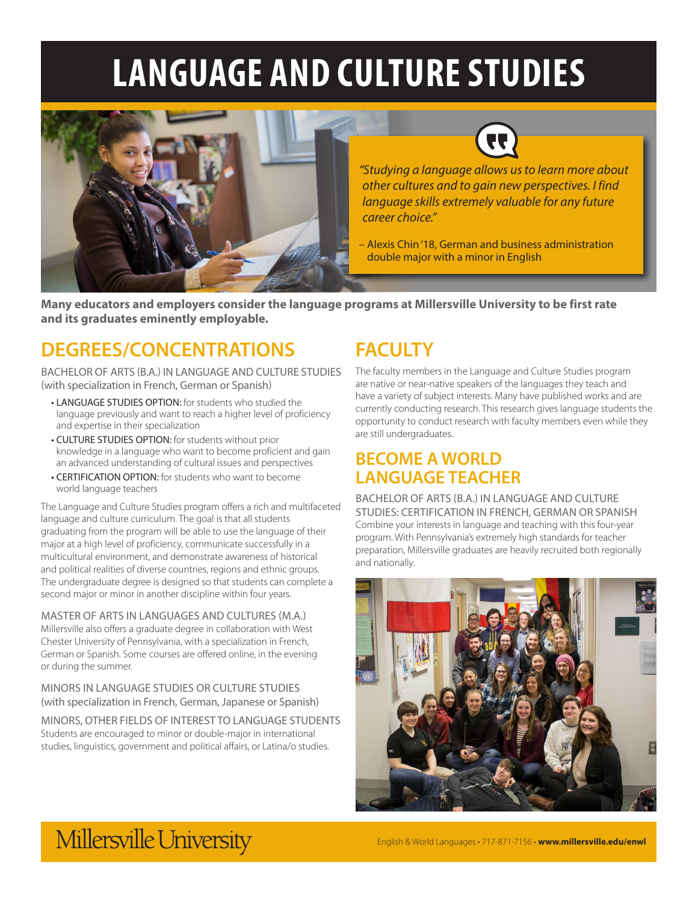# **LANGUAGE AND CULTURE STUDIES**





*"Studying a language allows us to learn more about other cultures and to gain new perspectives. I find language skills extremely valuable for any future career choice."* 

– Alexis Chin '18, German and business administration double major with a minor in English

**Many educators and employers consider the language programs at Millersville University to be first rate and its graduates eminently employable.**

### **DEGREES/CONCENTRATIONS**

BACHELOR OF ARTS (B.A.) IN LANGUAGE AND CULTURE STUDIES (with specialization in French, German or Spanish)

- LANGUAGE STUDIES OPTION: for students who studied the language previously and want to reach a higher level of proficiency and expertise in their specialization
- CULTURE STUDIES OPTION: for students without prior knowledge in a language who want to become proficient and gain an advanced understanding of cultural issues and perspectives
- CERTIFICATION OPTION: for students who want to become world language teachers

The Language and Culture Studies program offers a rich and multifaceted language and culture curriculum. The goal is that all students graduating from the program will be able to use the language of their major at a high level of proficiency, communicate successfully in a multicultural environment, and demonstrate awareness of historical and political realities of diverse countries, regions and ethnic groups. The undergraduate degree is designed so that students can complete a second major or minor in another discipline within four years.

MASTER OF ARTS IN LANGUAGES AND CULTURES (M.A.) Millersville also offers a graduate degree in collaboration with West Chester University of Pennsylvania, with a specialization in French, German or Spanish. Some courses are offered online, in the evening or during the summer.

MINORS IN LANGUAGE STUDIES OR CULTURE STUDIES (with specialization in French, German, Japanese or Spanish)

MINORS, OTHER FIELDS OF INTEREST TO LANGUAGE STUDENTS Students are encouraged to minor or double-major in international studies, linguistics, government and political affairs, or Latina/o studies.

### **FACULTY**

The faculty members in the Language and Culture Studies program are native or near-native speakers of the languages they teach and have a variety of subject interests. Many have published works and are currently conducting research. This research gives language students the opportunity to conduct research with faculty members even while they are still undergraduates.

### **BECOME A WORLD LANGUAGE TEACHER**

BACHELOR OF ARTS (B.A.) IN LANGUAGE AND CULTURE STUDIES: CERTIFICATION IN FRENCH, GERMAN OR SPANISH Combine your interests in language and teaching with this four-year program. With Pennsylvania's extremely high standards for teacher preparation, Millersville graduates are heavily recruited both regionally and nationally.



# Millersville University

English & World Languages • 717-871-7156 • **www.millersville.edu/enwl**